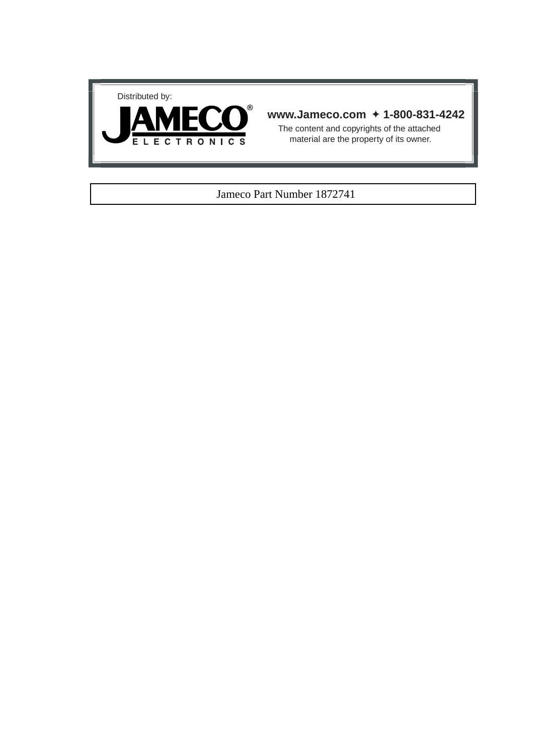



## **www.Jameco.com** ✦ **1-800-831-4242**

The content and copyrights of the attached material are the property of its owner.

### Jameco Part Number 1872741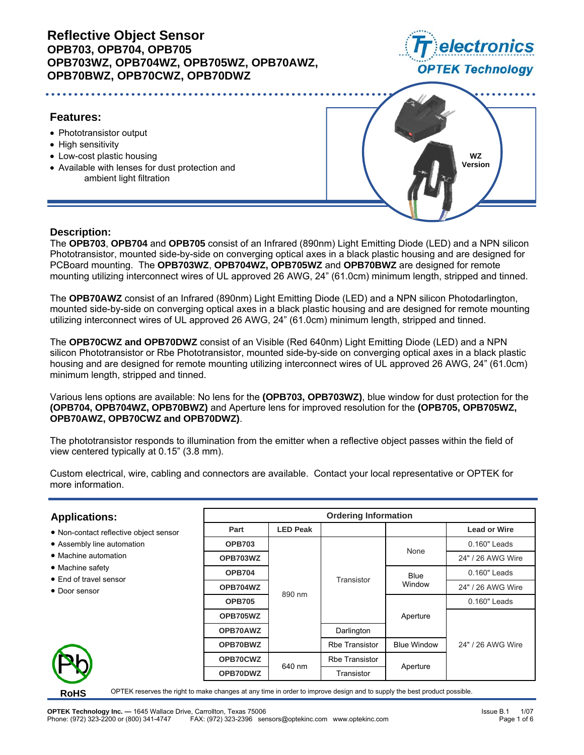

# **Features:**

- Phototransistor output
- High sensitivity
- Low-cost plastic housing
- Available with lenses for dust protection and ambient light filtration



## **Description:**

The **OPB703**, **OPB704** and **OPB705** consist of an Infrared (890nm) Light Emitting Diode (LED) and a NPN silicon Phototransistor, mounted side-by-side on converging optical axes in a black plastic housing and are designed for PCBoard mounting. The **OPB703WZ**, **OPB704WZ, OPB705WZ** and **OPB70BWZ** are designed for remote mounting utilizing interconnect wires of UL approved 26 AWG, 24" (61.0cm) minimum length, stripped and tinned.

The **OPB70AWZ** consist of an Infrared (890nm) Light Emitting Diode (LED) and a NPN silicon Photodarlington, mounted side-by-side on converging optical axes in a black plastic housing and are designed for remote mounting utilizing interconnect wires of UL approved 26 AWG, 24" (61.0cm) minimum length, stripped and tinned.

The **OPB70CWZ and OPB70DWZ** consist of an Visible (Red 640nm) Light Emitting Diode (LED) and a NPN silicon Phototransistor or Rbe Phototransistor, mounted side-by-side on converging optical axes in a black plastic housing and are designed for remote mounting utilizing interconnect wires of UL approved 26 AWG, 24" (61.0cm) minimum length, stripped and tinned.

Various lens options are available: No lens for the **(OPB703, OPB703WZ)**, blue window for dust protection for the **(OPB704, OPB704WZ, OPB70BWZ)** and Aperture lens for improved resolution for the **(OPB705, OPB705WZ, OPB70AWZ, OPB70CWZ and OPB70DWZ)**.

The phototransistor responds to illumination from the emitter when a reflective object passes within the field of view centered typically at 0.15" (3.8 mm).

Custom electrical, wire, cabling and connectors are available. Contact your local representative or OPTEK for more information.

# **Applications:**

- Non-contact reflective object sensor
- Assembly line automation
- Machine automation
- Machine safety
- End of travel sensor
- Door sensor



|               |                 | <b>Ordering Information</b> |                    |                     |  |  |
|---------------|-----------------|-----------------------------|--------------------|---------------------|--|--|
| Part          | <b>LED Peak</b> |                             |                    | <b>Lead or Wire</b> |  |  |
| <b>OPB703</b> |                 |                             | None               | 0.160" Leads        |  |  |
| OPB703WZ      |                 |                             |                    | 24" / 26 AWG Wire   |  |  |
| <b>OPB704</b> |                 | Transistor                  | Blue               | $0.160"$ Leads      |  |  |
| OPB704WZ      | 890 nm          |                             | Window             | 24" / 26 AWG Wire   |  |  |
| <b>OPB705</b> |                 |                             |                    | 0.160" Leads        |  |  |
| OPB705WZ      |                 |                             | Aperture           |                     |  |  |
| OPB70AWZ      |                 | Darlington                  |                    |                     |  |  |
| OPB70BWZ      |                 | <b>Rbe Transistor</b>       | <b>Blue Window</b> | 24" / 26 AWG Wire   |  |  |
| OPB70CWZ      | 640 nm          | <b>Rbe Transistor</b>       | Aperture           |                     |  |  |
| OPB70DWZ      |                 | Transistor                  |                    |                     |  |  |

**RoHS**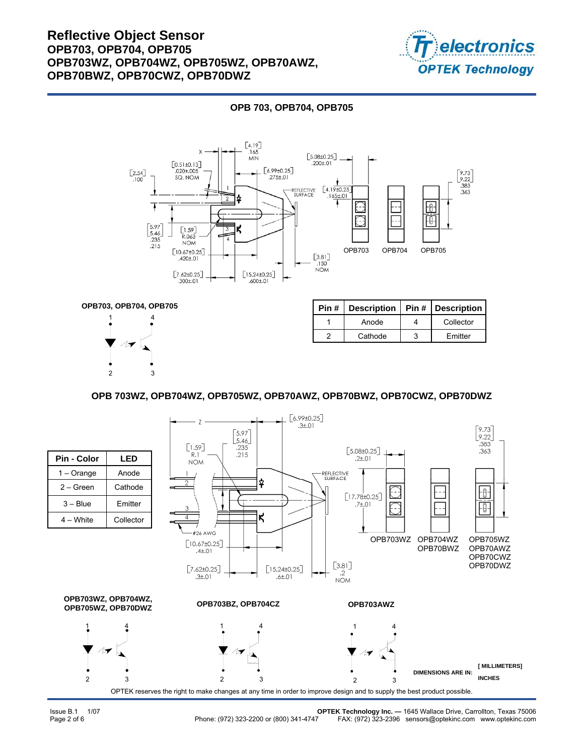

### **OPB 703, OPB704, OPB705**





| Pin # | <b>Description</b> | <b>Pin # Description</b> |
|-------|--------------------|--------------------------|
|       | Anode              | Collector                |
|       | Cathode            | <b>Fmitter</b>           |

#### **OPB 703WZ, OPB704WZ, OPB705WZ, OPB70AWZ, OPB70BWZ, OPB70CWZ, OPB70DWZ**

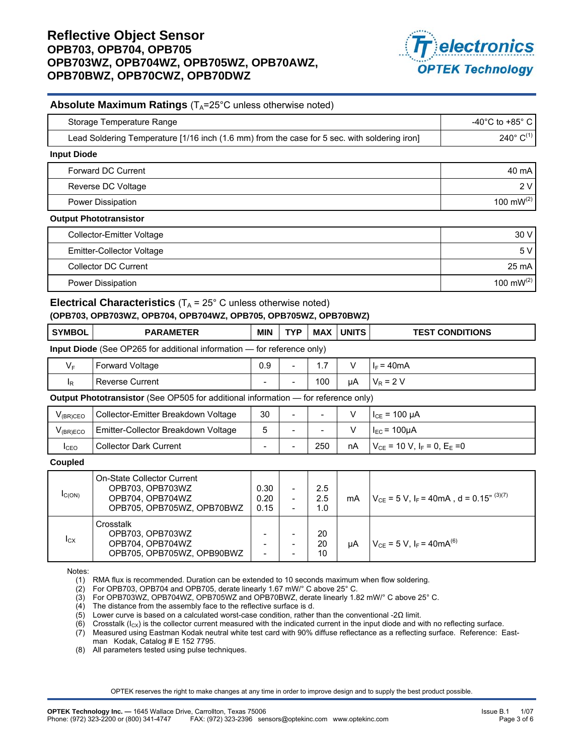

#### **Absolute Maximum Ratings** (T<sub>A</sub>=25°C unless otherwise noted)

| Storage Temperature Range                                                                    | -40 $^{\circ}$ C to +85 $^{\circ}$ C |
|----------------------------------------------------------------------------------------------|--------------------------------------|
| Lead Soldering Temperature [1/16 inch (1.6 mm) from the case for 5 sec. with soldering iron] | $240^{\circ}$ C <sup>(1)</sup>       |
| <b>Input Diode</b>                                                                           |                                      |
| Forward DC Current                                                                           | 40 mA                                |
| Reverse DC Voltage                                                                           | 2V                                   |
| Power Dissipation                                                                            | 100 mW $(2)$                         |
| <b>Output Phototransistor</b>                                                                |                                      |
| <b>Collector-Emitter Voltage</b>                                                             | 30 V                                 |
| <b>Emitter-Collector Voltage</b>                                                             | 5V                                   |
| <b>Collector DC Current</b>                                                                  | 25 mA                                |
| <b>Power Dissipation</b>                                                                     | 100 mW $(2)$                         |

#### **Electrical Characteristics**  $(T_A = 25^\circ \text{ C}$  unless otherwise noted) **(OPB703, OPB703WZ, OPB704, OPB704WZ, OPB705, OPB705WZ, OPB70BWZ)**

| <b>SYMBOL</b>                                                                             | <b>PARAMETER</b>                              | <b>MIN</b>               | <b>TYP</b>               | <b>MAX</b> | l UNITS l | <b>TEST CONDITIONS</b>           |
|-------------------------------------------------------------------------------------------|-----------------------------------------------|--------------------------|--------------------------|------------|-----------|----------------------------------|
| <b>Input Diode</b> (See OP265 for additional information — for reference only)            |                                               |                          |                          |            |           |                                  |
| $V_F$                                                                                     | <b>Forward Voltage</b>                        | 0.9                      | $\overline{\phantom{a}}$ | 1.7        |           | $I_F = 40mA$                     |
| $\mathsf{I}_{\mathsf{R}}$                                                                 | <b>Reverse Current</b>                        | $\overline{\phantom{0}}$ |                          | 100        | uA        | $V_R = 2 V$                      |
| <b>Output Phototransistor</b> (See OP505 for additional information — for reference only) |                                               |                          |                          |            |           |                                  |
| $V_{\text{onor}}$                                                                         | <u> I Collector-Emitter Breakdown Voltage</u> | 30                       |                          |            |           | $L_{\text{eff}} = 100 \text{ m}$ |

| V <sub>(BR)</sub> CEO | Collector-Emitter Breakdown Voltage | 30                       | $\overline{\phantom{0}}$ | $\sim$                   |    | $I_{CE}$ = 100 µA                     |
|-----------------------|-------------------------------------|--------------------------|--------------------------|--------------------------|----|---------------------------------------|
| V <sub>(BR)ECO</sub>  | Emitter-Collector Breakdown Voltage | <sub>5</sub>             | $\overline{\phantom{0}}$ | $\overline{\phantom{0}}$ |    | $I_{EC}$ = 100µA                      |
| <b>I</b> CEO          | <b>Collector Dark Current</b>       | $\overline{\phantom{0}}$ | -                        | 250                      | nA | $V_{CE}$ = 10 V, $I_F$ = 0, $E_E$ = 0 |

#### **Coupled**

| IC(ON) | On-State Collector Current<br>OPB703, OPB703WZ<br>OPB704, OPB704WZ<br>OPB705, OPB705WZ, OPB70BWZ | 0.30<br>0.20<br>0.15                                                             | -<br>$\overline{\phantom{0}}$<br>$\overline{\phantom{0}}$ | 2.5<br>2.5<br>1.0 | mA | $V_{CE}$ = 5 V, I <sub>F</sub> = 40mA, d = 0.15 <sup>" (3)(7)</sup> |
|--------|--------------------------------------------------------------------------------------------------|----------------------------------------------------------------------------------|-----------------------------------------------------------|-------------------|----|---------------------------------------------------------------------|
| Icx    | Crosstalk<br>OPB703, OPB703WZ<br>OPB704, OPB704WZ<br>OPB705, OPB705WZ, OPB90BWZ                  | $\overline{\phantom{0}}$<br>$\overline{\phantom{0}}$<br>$\overline{\phantom{a}}$ |                                                           | 20<br>20<br>10    | uA | $V_{CF}$ = 5 V, I <sub>F</sub> = 40mA <sup>(6)</sup>                |

Notes:

(1) RMA flux is recommended. Duration can be extended to 10 seconds maximum when flow soldering.

(2) For OPB703, OPB704 and OPB705, derate linearly 1.67 mW/° C above 25° C.

(3) For OPB703WZ, OPB704WZ, OPB705WZ and OPB70BWZ, derate linearly 1.82 mW/° C above 25° C.

(4) The distance from the assembly face to the reflective surface is d.

(5) Lower curve is based on a calculated worst-case condition, rather than the conventional -2Ω limit.

(6) Crosstalk ( $I_{CX}$ ) is the collector current measured with the indicated current in the input diode and with no reflecting surface.

(7) Measured using Eastman Kodak neutral white test card with 90% diffuse reflectance as a reflecting surface. Reference: Eastman Kodak, Catalog # E 152 7795.

(8) All parameters tested using pulse techniques.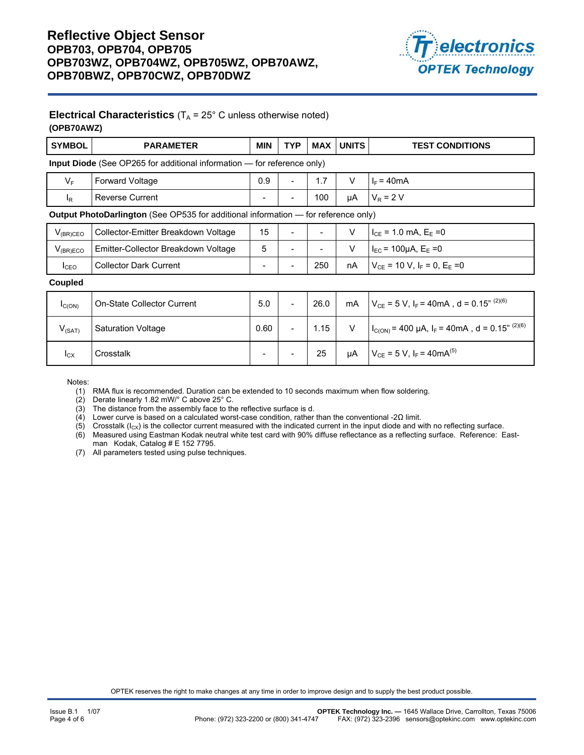

### **Electrical Characteristics**  $(T_A = 25^\circ \text{ C}$  unless otherwise noted) **(OPB70AWZ)**

| <b>SYMBOL</b>                                                                  | <b>PARAMETER</b>                                                                          | <b>MIN</b> | <b>TYP</b>               | <b>MAX</b> | <b>UNITS</b> | <b>TEST CONDITIONS</b>                                              |  |  |
|--------------------------------------------------------------------------------|-------------------------------------------------------------------------------------------|------------|--------------------------|------------|--------------|---------------------------------------------------------------------|--|--|
| <b>Input Diode</b> (See OP265 for additional information – for reference only) |                                                                                           |            |                          |            |              |                                                                     |  |  |
| $V_{\rm F}$                                                                    | Forward Voltage                                                                           | 0.9        | $\overline{\phantom{0}}$ | 1.7        | V            | $I_F = 40mA$                                                        |  |  |
| $\mathsf{I}_{\mathsf{R}}$                                                      | <b>Reverse Current</b>                                                                    |            |                          | 100        | μA           | $V_R = 2 V$                                                         |  |  |
|                                                                                | <b>Output PhotoDarlington</b> (See OP535 for additional information — for reference only) |            |                          |            |              |                                                                     |  |  |
| $V_{(BR)CEO}$                                                                  | Collector-Emitter Breakdown Voltage                                                       | 15         |                          |            | $\vee$       | $I_{CE}$ = 1.0 mA, $E_E$ = 0                                        |  |  |
| $V_{(BR)ECO}$                                                                  | Emitter-Collector Breakdown Voltage                                                       | 5          | $\overline{\phantom{a}}$ | -          | $\vee$       | $I_{EC}$ = 100µA, E <sub>E</sub> = 0                                |  |  |
| $I_{CEO}$                                                                      | <b>Collector Dark Current</b>                                                             |            |                          | 250        | nA           | $V_{CF}$ = 10 V, $I_F$ = 0, $E_F$ =0                                |  |  |
| Coupled                                                                        |                                                                                           |            |                          |            |              |                                                                     |  |  |
| $I_{C(ON)}$                                                                    | On-State Collector Current                                                                | 5.0        | $\overline{\phantom{a}}$ | 26.0       | mA           | $V_{CE}$ = 5 V, I <sub>F</sub> = 40mA, d = 0.15 <sup>" (2)(6)</sup> |  |  |
| $V_{(SAT)}$                                                                    | <b>Saturation Voltage</b>                                                                 | 0.60       | $\overline{\phantom{a}}$ | 1.15       | $\vee$       | $I_{C(ON)}$ = 400 µA, $I_F$ = 40mA, d = 0.15 <sup>" (2)(6)</sup>    |  |  |
| $I_{\text{CX}}$                                                                | Crosstalk                                                                                 |            |                          | 25         | μA           | $V_{CE} = 5 V$ , $I_F = 40mA^{(5)}$                                 |  |  |

Notes:

(1) RMA flux is recommended. Duration can be extended to 10 seconds maximum when flow soldering.

(2) Derate linearly 1.82 mW/° C above 25° C.

(3) The distance from the assembly face to the reflective surface is d.

(4) Lower curve is based on a calculated worst-case condition, rather than the conventional -2 $\Omega$  limit.

(5) Crosstalk ( $I_{CX}$ ) is the collector current measured with the indicated current in the input diode and with no reflecting surface.

(6) Measured using Eastman Kodak neutral white test card with 90% diffuse reflectance as a reflecting surface. Reference: Eastman Kodak, Catalog # E 152 7795.

(7) All parameters tested using pulse techniques.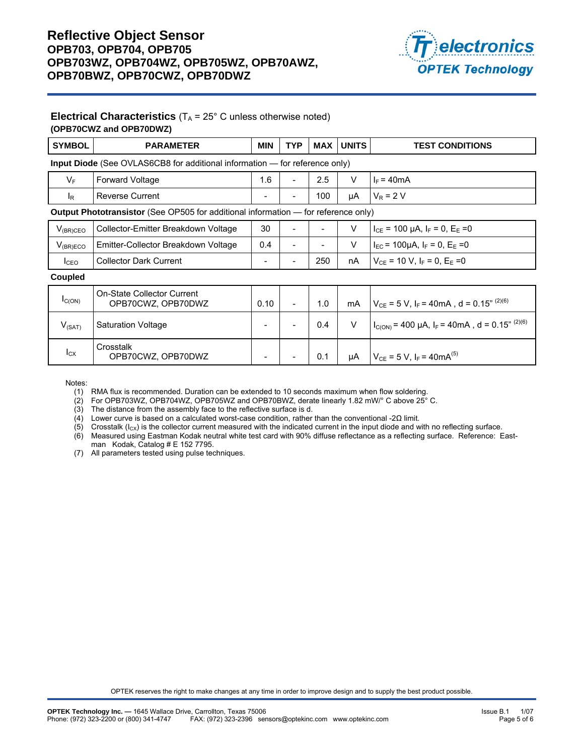

### **Electrical Characteristics**  $(T_A = 25^\circ \text{ C}$  unless otherwise noted) **(OPB70CWZ and OPB70DWZ)**

| <b>SYMBOL</b>                                                                      | <b>PARAMETER</b>                                                                          | <b>MIN</b>               | <b>TYP</b>               | <b>MAX</b> | <b>UNITS</b> | <b>TEST CONDITIONS</b>                                              |  |  |  |
|------------------------------------------------------------------------------------|-------------------------------------------------------------------------------------------|--------------------------|--------------------------|------------|--------------|---------------------------------------------------------------------|--|--|--|
| <b>Input Diode</b> (See OVLAS6CB8 for additional information — for reference only) |                                                                                           |                          |                          |            |              |                                                                     |  |  |  |
| $V_F$                                                                              | <b>Forward Voltage</b>                                                                    | 1.6                      | $\overline{\phantom{a}}$ | 2.5        | $\vee$       | $I_F = 40mA$                                                        |  |  |  |
| $I_{R}$                                                                            | <b>Reverse Current</b>                                                                    | $\overline{\phantom{a}}$ | $\overline{\phantom{0}}$ | 100        | μA           | $V_R$ = 2 V                                                         |  |  |  |
|                                                                                    | <b>Output Phototransistor</b> (See OP505 for additional information — for reference only) |                          |                          |            |              |                                                                     |  |  |  |
| $V_{(BR)CEO}$                                                                      | Collector-Emitter Breakdown Voltage                                                       | 30                       |                          |            | V            | $I_{CE}$ = 100 µA, $I_F$ = 0, $E_E$ =0                              |  |  |  |
| $V_{(BR)ECO}$                                                                      | Emitter-Collector Breakdown Voltage                                                       | 0.4                      |                          |            | V            | $I_{EC}$ = 100µA, $I_F$ = 0, $E_E$ =0                               |  |  |  |
| I <sub>CEO</sub>                                                                   | <b>Collector Dark Current</b>                                                             | $\overline{\phantom{a}}$ | $\overline{\phantom{0}}$ | 250        | nA           | $V_{CF}$ = 10 V, I <sub>F</sub> = 0, E <sub>F</sub> = 0             |  |  |  |
| Coupled                                                                            |                                                                                           |                          |                          |            |              |                                                                     |  |  |  |
| $I_{C(ON)}$                                                                        | On-State Collector Current<br>OPB70CWZ, OPB70DWZ                                          | 0.10                     | $\overline{\phantom{a}}$ | 1.0        | mA           | $V_{CE}$ = 5 V, I <sub>F</sub> = 40mA, d = 0.15 <sup>" (2)(6)</sup> |  |  |  |
| $V_{(SAT)}$                                                                        | <b>Saturation Voltage</b>                                                                 | $\overline{\phantom{0}}$ |                          | 0.4        | V            | $I_{C(ON)}$ = 400 µA, $I_F$ = 40mA, d = 0.15 <sup>" (2)(6)</sup>    |  |  |  |
| $I_{\text{CX}}$                                                                    | Crosstalk<br>OPB70CWZ, OPB70DWZ                                                           |                          |                          | 0.1        | μA           | $V_{CE}$ = 5 V, I <sub>F</sub> = 40mA <sup>(5)</sup>                |  |  |  |

Notes:

(1) RMA flux is recommended. Duration can be extended to 10 seconds maximum when flow soldering.

(2) For OPB703WZ, OPB704WZ, OPB705WZ and OPB70BWZ, derate linearly 1.82 mW/° C above 25° C.

(3) The distance from the assembly face to the reflective surface is d.

(4) Lower curve is based on a calculated worst-case condition, rather than the conventional -2Ω limit.

(5) Crosstalk  $(I_{CX})$  is the collector current measured with the indicated current in the input diode and with no reflecting surface.

(6) Measured using Eastman Kodak neutral white test card with 90% diffuse reflectance as a reflecting surface. Reference: Eastman Kodak, Catalog # E 152 7795.

(7) All parameters tested using pulse techniques.